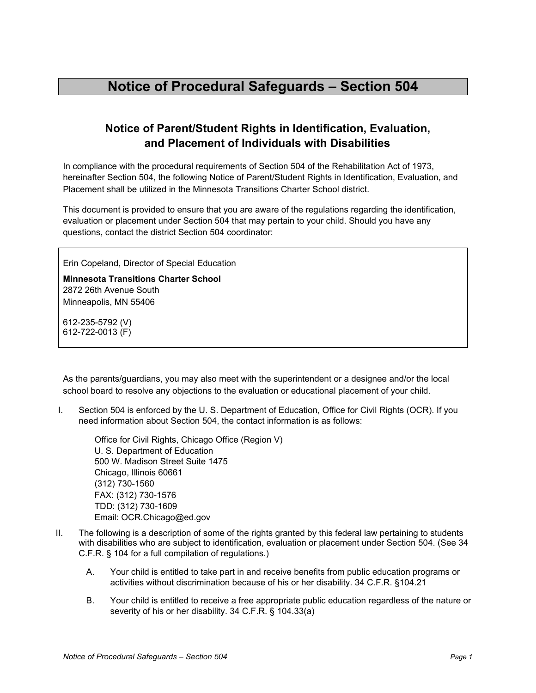## **Notice of Parent/Student Rights in Identification, Evaluation, and Placement of Individuals with Disabilities**

In compliance with the procedural requirements of Section 504 of the Rehabilitation Act of 1973, hereinafter Section 504, the following Notice of Parent/Student Rights in Identification, Evaluation, and Placement shall be utilized in the Minnesota Transitions Charter School district.

This document is provided to ensure that you are aware of the regulations regarding the identification, evaluation or placement under Section 504 that may pertain to your child. Should you have any questions, contact the district Section 504 coordinator:

Erin Copeland, Director of Special Education

**Minnesota Transitions Charter School** 2872 26th [Avenue](https://maps.google.com/?q=2872+26th+Avenue+South+Minneapolis,+MN+55406+612&entry=gmail&source=g) South [Minneapolis,](https://maps.google.com/?q=2872+26th+Avenue+South+Minneapolis,+MN+55406+612&entry=gmail&source=g) MN 55406

612-235-5792 (V) 612-722-0013 (F)

As the parents/guardians, you may also meet with the superintendent or a designee and/or the local school board to resolve any objections to the evaluation or educational placement of your child.

I. Section 504 is enforced by the U. S. Department of Education, Office for Civil Rights (OCR). If you need information about Section 504, the contact information is as follows:

Office for Civil Rights, Chicago Office (Region V) U. S. Department of Education 500 W. Madison Street Suite 1475 Chicago, Illinois 60661 (312) 730-1560 FAX: (312) 730-1576 TDD: (312) 730-1609 Email: OCR.Chicago@ed.gov

- II. The following is a description of some of the rights granted by this federal law pertaining to students with disabilities who are subject to identification, evaluation or placement under Section 504. (See 34 C.F.R. § 104 for a full compilation of regulations.)
	- A. Your child is entitled to take part in and receive benefits from public education programs or activities without discrimination because of his or her disability. 34 C.F.R. §104.21
	- B. Your child is entitled to receive a free appropriate public education regardless of the nature or severity of his or her disability. 34 C.F.R. § 104.33(a)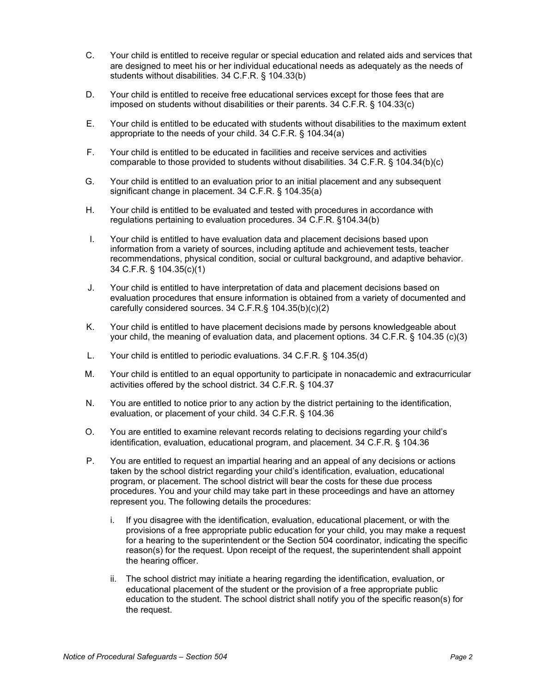- C. Your child is entitled to receive regular or special education and related aids and services that are designed to meet his or her individual educational needs as adequately as the needs of students without disabilities. 34 C.F.R. § 104.33(b)
- D. Your child is entitled to receive free educational services except for those fees that are imposed on students without disabilities or their parents. 34 C.F.R. § 104.33(c)
- E. Your child is entitled to be educated with students without disabilities to the maximum extent appropriate to the needs of your child. 34 C.F.R. § 104.34(a)
- F. Your child is entitled to be educated in facilities and receive services and activities comparable to those provided to students without disabilities. 34 C.F.R. § 104.34(b)(c)
- G. Your child is entitled to an evaluation prior to an initial placement and any subsequent significant change in placement. 34 C.F.R. § 104.35(a)
- H. Your child is entitled to be evaluated and tested with procedures in accordance with regulations pertaining to evaluation procedures. 34 C.F.R. §104.34(b)
- I. Your child is entitled to have evaluation data and placement decisions based upon information from a variety of sources, including aptitude and achievement tests, teacher recommendations, physical condition, social or cultural background, and adaptive behavior. 34 C.F.R. § 104.35(c)(1)
- J. Your child is entitled to have interpretation of data and placement decisions based on evaluation procedures that ensure information is obtained from a variety of documented and carefully considered sources. 34 C.F.R.§ 104.35(b)(c)(2)
- K. Your child is entitled to have placement decisions made by persons knowledgeable about your child, the meaning of evaluation data, and placement options. 34 C.F.R. § 104.35 (c)(3)
- L. Your child is entitled to periodic evaluations. 34 C.F.R. § 104.35(d)
- M. Your child is entitled to an equal opportunity to participate in nonacademic and extracurricular activities offered by the school district. 34 C.F.R. § 104.37
- N. You are entitled to notice prior to any action by the district pertaining to the identification, evaluation, or placement of your child. 34 C.F.R. § 104.36
- O. You are entitled to examine relevant records relating to decisions regarding your child's identification, evaluation, educational program, and placement. 34 C.F.R. § 104.36
- P. You are entitled to request an impartial hearing and an appeal of any decisions or actions taken by the school district regarding your child's identification, evaluation, educational program, or placement. The school district will bear the costs for these due process procedures. You and your child may take part in these proceedings and have an attorney represent you. The following details the procedures:
	- i. If you disagree with the identification, evaluation, educational placement, or with the provisions of a free appropriate public education for your child, you may make a request for a hearing to the superintendent or the Section 504 coordinator, indicating the specific reason(s) for the request. Upon receipt of the request, the superintendent shall appoint the hearing officer.
	- ii. The school district may initiate a hearing regarding the identification, evaluation, or educational placement of the student or the provision of a free appropriate public education to the student. The school district shall notify you of the specific reason(s) for the request.